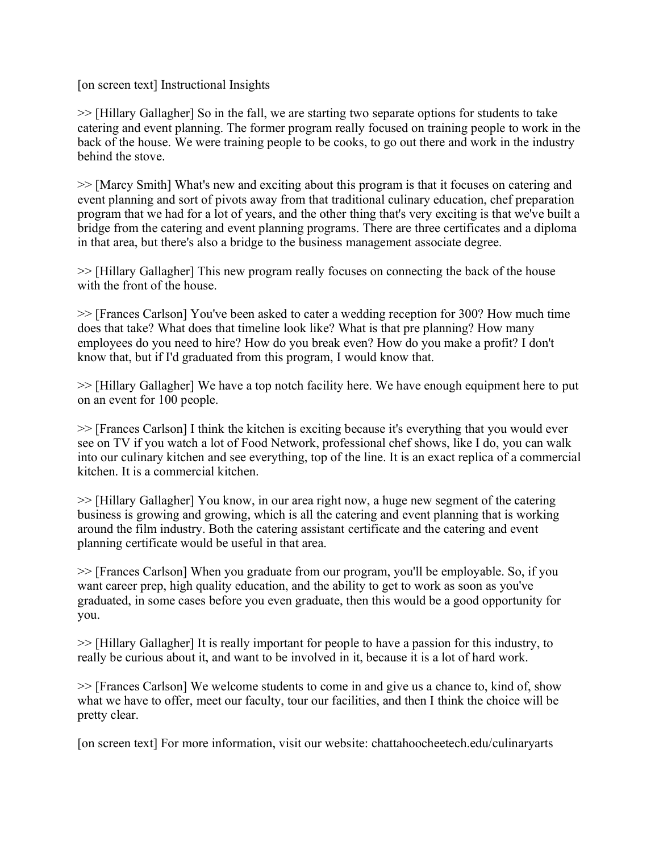[on screen text] Instructional Insights

>> [Hillary Gallagher] So in the fall, we are starting two separate options for students to take catering and event planning. The former program really focused on training people to work in the back of the house. We were training people to be cooks, to go out there and work in the industry behind the stove.

>> [Marcy Smith] What's new and exciting about this program is that it focuses on catering and event planning and sort of pivots away from that traditional culinary education, chef preparation program that we had for a lot of years, and the other thing that's very exciting is that we've built a bridge from the catering and event planning programs. There are three certificates and a diploma in that area, but there's also a bridge to the business management associate degree.

>> [Hillary Gallagher] This new program really focuses on connecting the back of the house with the front of the house.

>> [Frances Carlson] You've been asked to cater a wedding reception for 300? How much time does that take? What does that timeline look like? What is that pre planning? How many employees do you need to hire? How do you break even? How do you make a profit? I don't know that, but if I'd graduated from this program, I would know that.

>> [Hillary Gallagher] We have a top notch facility here. We have enough equipment here to put on an event for 100 people.

>> [Frances Carlson] I think the kitchen is exciting because it's everything that you would ever see on TV if you watch a lot of Food Network, professional chef shows, like I do, you can walk into our culinary kitchen and see everything, top of the line. It is an exact replica of a commercial kitchen. It is a commercial kitchen.

>> [Hillary Gallagher] You know, in our area right now, a huge new segment of the catering business is growing and growing, which is all the catering and event planning that is working around the film industry. Both the catering assistant certificate and the catering and event planning certificate would be useful in that area.

>> [Frances Carlson] When you graduate from our program, you'll be employable. So, if you want career prep, high quality education, and the ability to get to work as soon as you've graduated, in some cases before you even graduate, then this would be a good opportunity for you.

>> [Hillary Gallagher] It is really important for people to have a passion for this industry, to really be curious about it, and want to be involved in it, because it is a lot of hard work.

>> [Frances Carlson] We welcome students to come in and give us a chance to, kind of, show what we have to offer, meet our faculty, tour our facilities, and then I think the choice will be pretty clear.

[on screen text] For more information, visit our website: chattahoocheetech.edu/culinaryarts